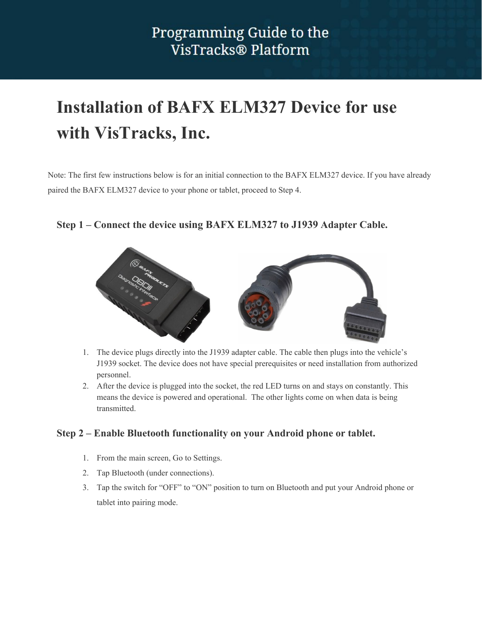# **Installation of BAFX ELM327 Device for use with VisTracks, Inc.**

Note: The first few instructions below is for an initial connection to the BAFX ELM327 device. If you have already paired the BAFX ELM327 device to your phone or tablet, proceed to Step 4.

#### **Step 1 – Connect the device using BAFX ELM327 to J1939 Adapter Cable.**



- 1. The device plugs directly into the J1939 adapter cable. The cable then plugs into the vehicle's J1939 socket. The device does not have special prerequisites or need installation from authorized personnel.
- 2. After the device is plugged into the socket, the red LED turns on and stays on constantly. This means the device is powered and operational. The other lights come on when data is being transmitted.

#### **Step 2 – Enable Bluetooth functionality on your Android phone or tablet.**

- 1. From the main screen, Go to Settings.
- 2. Tap Bluetooth (under connections).
- 3. Tap the switch for "OFF" to "ON" position to turn on Bluetooth and put your Android phone or tablet into pairing mode.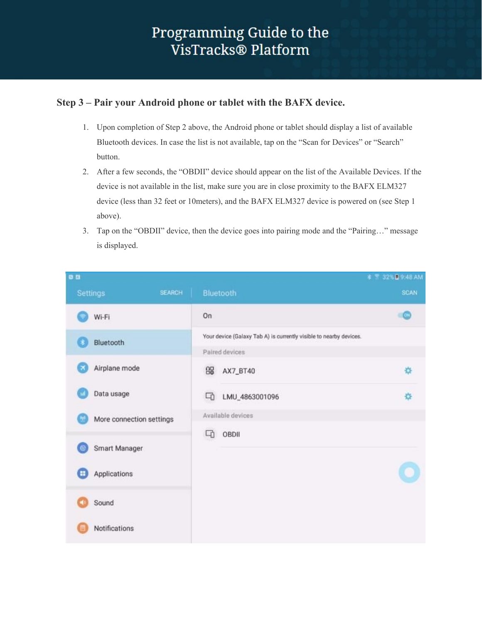#### **Step 3 – Pair your Android phone or tablet with the BAFX device.**

- 1. Upon completion of Step 2 above, the Android phone or tablet should display a list of available Bluetooth devices. In case the list is not available, tap on the "Scan for Devices" or "Search" button.
- 2. After a few seconds, the "OBDII" device should appear on the list of the Available Devices. If the device is not available in the list, make sure you are in close proximity to the BAFX ELM327 device (less than 32 feet or 10meters), and the BAFX ELM327 device is powered on (see Step 1 above).
- 3. Tap on the "OBDII" device, then the device goes into pairing mode and the "Pairing…" message is displayed.

| e a                            |               |                                                                                      |                   | 本 T 32% 图 9:48 AM |
|--------------------------------|---------------|--------------------------------------------------------------------------------------|-------------------|-------------------|
| <b>Settings</b>                | <b>SEARCH</b> |                                                                                      | Bluetooth         | <b>SCAN</b>       |
| Wi-Fi                          |               | On                                                                                   |                   | $\alpha$          |
| Bluetooth                      |               | Your device (Galaxy Tab A) is currently visible to nearby devices.<br>Paired devices |                   |                   |
| Airplane mode                  |               | 68                                                                                   | AX7_BT40          | 烧                 |
| Data usage                     |               | q                                                                                    | LMU_4863001096    | 烧                 |
| More connection settings<br>YB |               |                                                                                      | Available devices |                   |
| Smart Manager<br>$^{\circ}$    |               | q                                                                                    | OBDII             |                   |
| Applications<br>Œ              |               |                                                                                      |                   |                   |
| Sound                          |               |                                                                                      |                   |                   |
| Notifications                  |               |                                                                                      |                   |                   |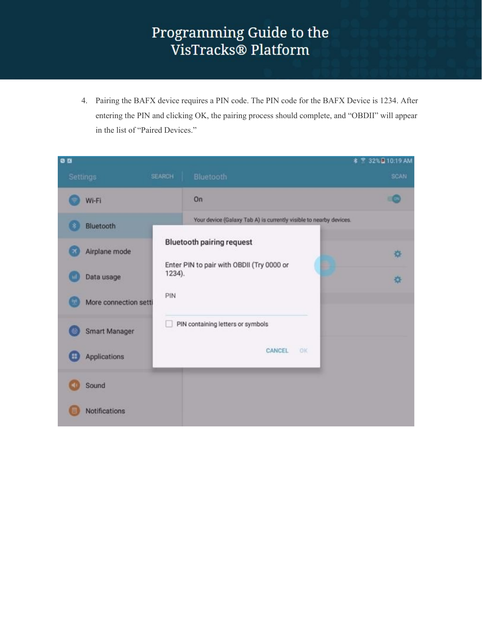4. Pairing the BAFX device requires a PIN code. The PIN code for the BAFX Device is 1234. After entering the PIN and clicking OK, the pairing process should complete, and "OBDII" will appear in the list of "Paired Devices."

| <b>0 B</b>            |                                                                    | * <sup>2</sup> 32% 10:19 AM |
|-----------------------|--------------------------------------------------------------------|-----------------------------|
| Settings              | Bluetooth<br><b>SEARCH</b>                                         | <b>SCAN</b>                 |
| Wi-Fi                 | On                                                                 |                             |
| Bluetooth             | Your device (Galaxy Tab A) is currently visible to nearby devices. |                             |
| Airplane mode         | <b>Bluetooth pairing request</b>                                   | 连                           |
| Data usage            | Enter PIN to pair with OBDII (Try 0000 or<br>1234).                | ÷.                          |
| More connection setti | PIN                                                                |                             |
| <b>Smart Manager</b>  | PIN containing letters or symbols                                  |                             |
| Applications<br>н     | CANCEL<br><b>OK</b>                                                |                             |
| Sound                 |                                                                    |                             |
| <b>Notifications</b>  |                                                                    |                             |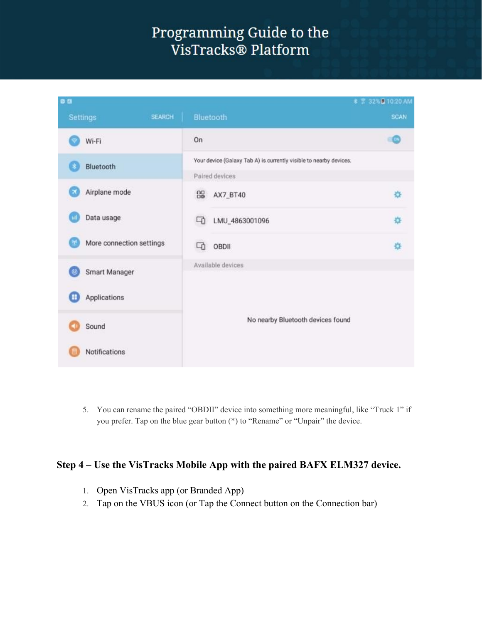

5. You can rename the paired "OBDII" device into something more meaningful, like "Truck 1" if you prefer. Tap on the blue gear button (\*) to "Rename" or "Unpair" the device.

#### **Step 4 – Use the VisTracks Mobile App with the paired BAFX ELM327 device.**

- 1. Open VisTracks app (or Branded App)
- 2. Tap on the VBUS icon (or Tap the Connect button on the Connection bar)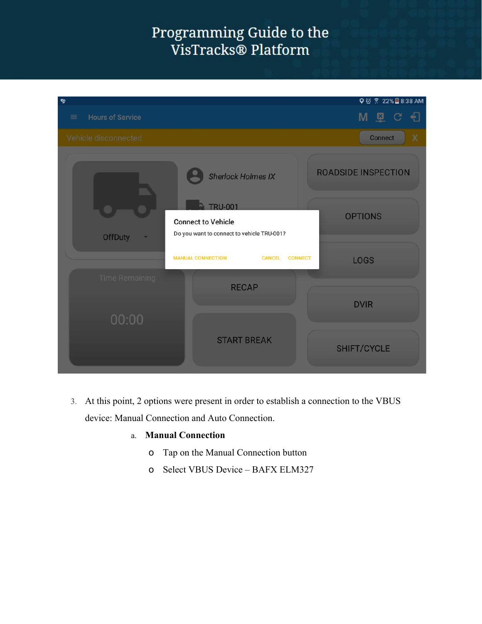| $\mathbf{e}_2$                      |                                                                                           | Q 図 常 22%■8:38 AM             |
|-------------------------------------|-------------------------------------------------------------------------------------------|-------------------------------|
| <b>Hours of Service</b><br>$\equiv$ |                                                                                           | $M$ $Q$ $C$<br>€              |
| Vehicle disconnected                |                                                                                           | Connect<br>X                  |
|                                     | <b>Sherlock Holmes IX</b>                                                                 | <b>ROADSIDE INSPECTION</b>    |
| <b>OffDuty</b>                      | <b>TRU-001</b><br><b>Connect to Vehicle</b><br>Do you want to connect to vehicle TRU-001? | <b>OPTIONS</b>                |
|                                     | <b>MANUAL CONNECTION</b><br>CANCEL                                                        | <b>CONNECT</b><br><b>LOGS</b> |
| <b>Time Remaining</b>               | <b>RECAP</b>                                                                              |                               |
| 00:00                               |                                                                                           | <b>DVIR</b>                   |
|                                     | <b>START BREAK</b>                                                                        | SHIFT/CYCLE                   |

- 3. At this point, 2 options were present in order to establish a connection to the VBUS device: Manual Connection and Auto Connection.
	- a. **Manual Connection**
		- o Tap on the Manual Connection button
		- o Select VBUS Device BAFX ELM327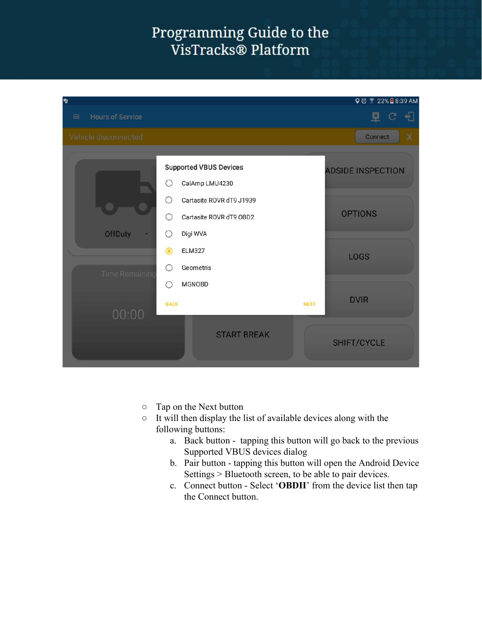#### Programming Guide to the VisTracks® Platform



- Tap on the Next button
- $\circ$  It will then display the list of available devices along with the following buttons:
	- a. Back button tapping this button will go back to the previous Supported VBUS devices dialog
	- b. Pair button tapping this button will open the Android Device Settings > Bluetooth screen, to be able to pair devices.
	- c. Connect button Select '**OBDII**' from the device list then tap the Connect button.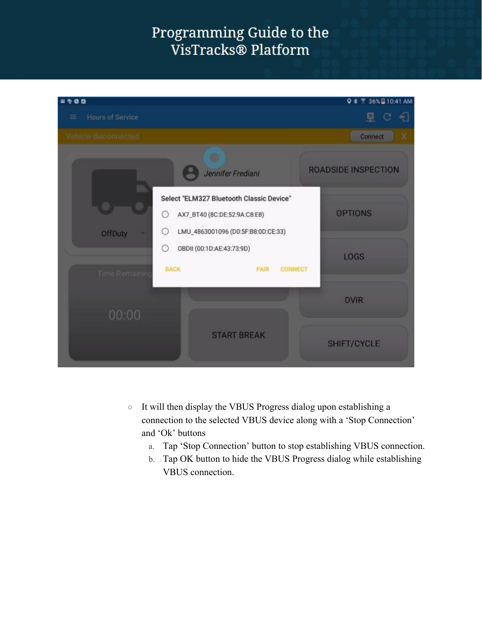| 1900                    |                                                                                                                          | $Q$ $\frac{1}{8}$ $\frac{1}{8}$ 36% B 10:41 AM |
|-------------------------|--------------------------------------------------------------------------------------------------------------------------|------------------------------------------------|
| Hours of Service<br>Ξ   |                                                                                                                          | 旦                                              |
| Vehicle disconnected    |                                                                                                                          | <b>Connect</b>                                 |
|                         | Jennifer Frediani                                                                                                        | <b>ROADSIDE INSPECTION</b>                     |
| <b>OffDuty</b>          | Select "ELM327 Bluetooth Classic Device"<br>O<br>AX7_BT40 (8C:DE:52:9A:C8:E8)<br>LMU_4863001096 (D0:5F:B8:0D:CE:33)<br>O | <b>OPTIONS</b>                                 |
|                         | $\circ$<br>OBDII (00:1D:AE:43:73:9D)<br><b>BACK</b><br><b>PAIR</b><br><b>CONNECT</b>                                     | <b>LOGS</b>                                    |
| Time Remaining<br>00:00 |                                                                                                                          | <b>DVIR</b>                                    |
|                         | <b>START BREAK</b>                                                                                                       | SHIFT/CYCLE                                    |

- It will then display the VBUS Progress dialog upon establishing a connection to the selected VBUS device along with a 'Stop Connection' and 'Ok' buttons
	- a. Tap 'Stop Connection' button to stop establishing VBUS connection.
	- b. Tap OK button to hide the VBUS Progress dialog while establishing VBUS connection.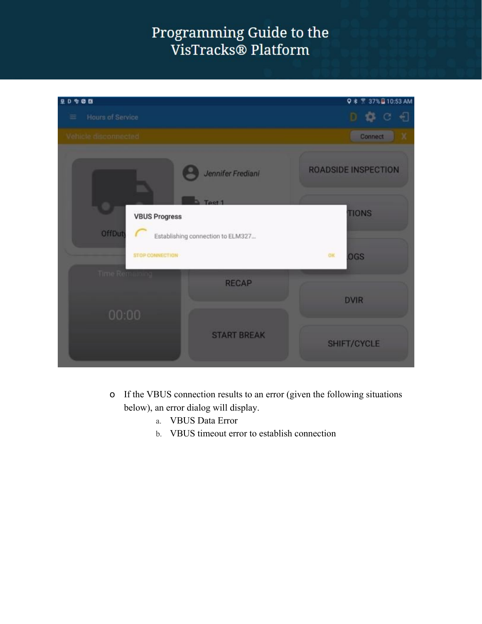| 20900                                                                                 | Q * 7 37% 0 10:53 AM       |
|---------------------------------------------------------------------------------------|----------------------------|
| Hours of Service<br>$\equiv$                                                          |                            |
| Vehicle disconnected                                                                  | Connect                    |
| Jennifer Frediani                                                                     | <b>ROADSIDE INSPECTION</b> |
| Test 1<br><b>VBUS Progress</b><br><b>OffDuty</b><br>Establishing connection to ELM327 | <b>TIONS</b>               |
| STOP CONNECTION                                                                       | OK<br><b>OGS</b>           |
| Time Remaining<br><b>RECAP</b>                                                        | <b>DVIR</b>                |
| 00:00                                                                                 |                            |
| <b>START BREAK</b>                                                                    | SHIFT/CYCLE                |

- o If the VBUS connection results to an error (given the following situations below), an error dialog will display.
	- a. VBUS Data Error
	- b. VBUS timeout error to establish connection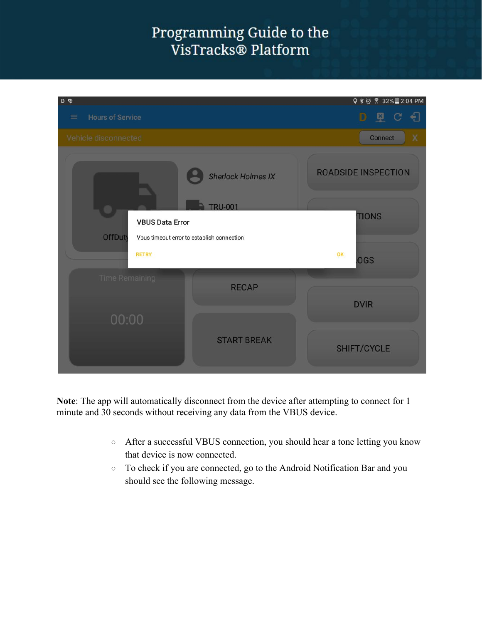#### Programming Guide to the VisTracks® Platform

| $D$ %                               |                                             | Q * @ * 32% 2:04 PM        |
|-------------------------------------|---------------------------------------------|----------------------------|
| <b>Hours of Service</b><br>$\equiv$ |                                             | 图<br>€<br>D<br>C           |
| Vehicle disconnected                |                                             | <b>Connect</b><br>Χ        |
|                                     | <b>Sherlock Holmes IX</b><br><b>TRU-001</b> | <b>ROADSIDE INSPECTION</b> |
| <b>VBUS Data Error</b>              |                                             | <b>TIONS</b>               |
| <b>OffDuty</b>                      | Vbus timeout error to establish connection  |                            |
| <b>RETRY</b>                        |                                             | OK<br>.OGS                 |
| <b>Time Remaining</b>               | <b>RECAP</b>                                | <b>DVIR</b>                |
| 00:00                               |                                             |                            |
|                                     | <b>START BREAK</b>                          | SHIFT/CYCLE                |

**Note**: The app will automatically disconnect from the device after attempting to connect for 1 minute and 30 seconds without receiving any data from the VBUS device.

- After a successful VBUS connection, you should hear a tone letting you know that device is now connected.
- To check if you are connected, go to the Android Notification Bar and you should see the following message.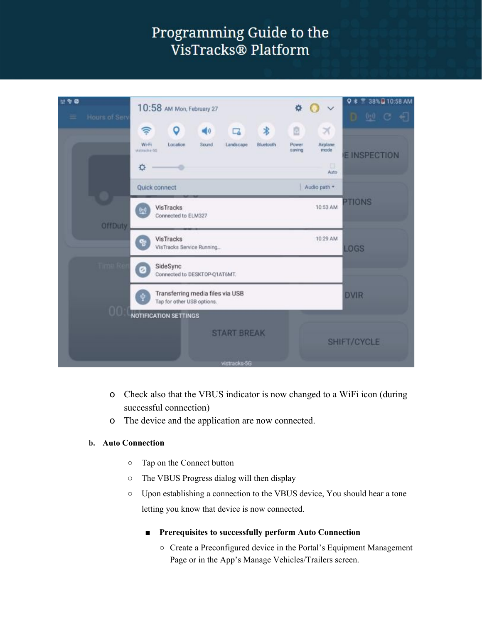| 出考区<br><b>Hours of Serv</b> | 10:58 AM Mon, February 27<br>烧                                                                                                                                                | <b>■ 38%日10:58 AM</b><br>0 *<br>$D \subseteq C$ and |
|-----------------------------|-------------------------------------------------------------------------------------------------------------------------------------------------------------------------------|-----------------------------------------------------|
|                             | $\ast$<br>≑<br>o<br>ō<br>$\blacktriangleleft$<br>×<br>c<br>Wi-Fi<br>Airplane<br>Location<br>Sound<br>Landscape<br>Pawer<br>Bluetooth<br>mode<br>saving<br>vistracks-5G<br>IS. | <b>E INSPECTION</b>                                 |
|                             | 森<br>Auto<br>Quick connect<br>Audio path =                                                                                                                                    | <b>PTIONS</b>                                       |
| <b>OffDuty</b>              | VisTracks<br>10:53 AM<br>Connected to ELM327<br>10:29 AM                                                                                                                      |                                                     |
| lima R                      | VisTracks<br>VisTracks Service Running<br>SideSync<br>$\sigma_{\rm s}$<br>Connected to DESKTOP-Q1AT6MT.                                                                       | <b>LOGS</b>                                         |
| 00                          | Transferring media files via USB<br>Tap for other USB options.                                                                                                                | <b>DVIR</b>                                         |
|                             | <b>NOTIFICATION SETTINGS</b><br><b>START BREAK</b>                                                                                                                            | SHIFT/CYCLE                                         |
|                             | vistracks-5G                                                                                                                                                                  |                                                     |

- o Check also that the VBUS indicator is now changed to a WiFi icon (during successful connection)
- o The device and the application are now connected.

#### **b. Auto Connection**

- Tap on the Connect button
- The VBUS Progress dialog will then display
- Upon establishing a connection to the VBUS device, You should hear a tone letting you know that device is now connected.
	- **■ Prerequisites to successfully perform Auto Connection**
		- Create a Preconfigured device in the Portal's Equipment Management Page or in the App's Manage Vehicles/Trailers screen.